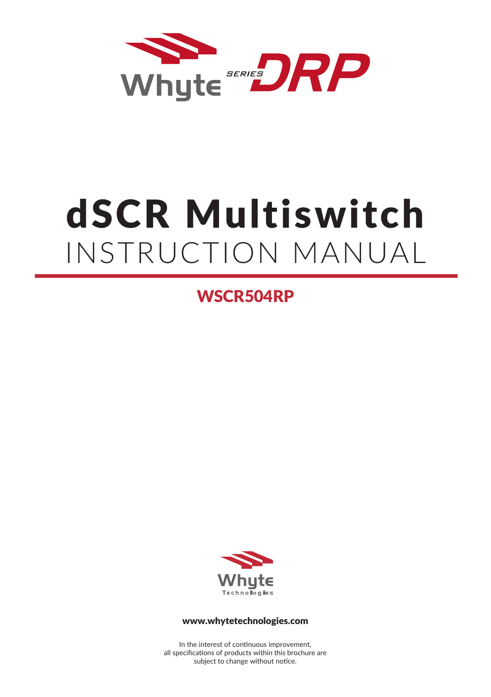

# dSCR Multiswitch INSTRUCTION MANUAL

WSCR504RP



#### www.whytetechnologies.com

In the interest of continuous improvement, all specifications of products within this brochure are subject to change without notice.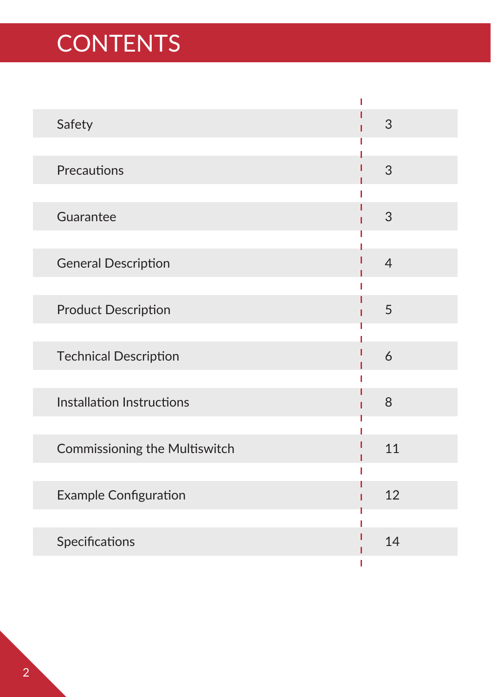## **CONTENTS**

| Safety                        | 3              |
|-------------------------------|----------------|
|                               |                |
| Precautions                   | 3              |
| Guarantee                     | 3              |
| <b>General Description</b>    | $\overline{4}$ |
| <b>Product Description</b>    | 5<br>ı         |
|                               |                |
| <b>Technical Description</b>  | 6              |
| Installation Instructions     | 8              |
| Commissioning the Multiswitch | 11             |
| <b>Example Configuration</b>  | 12             |
| Specifications                | 14             |
|                               |                |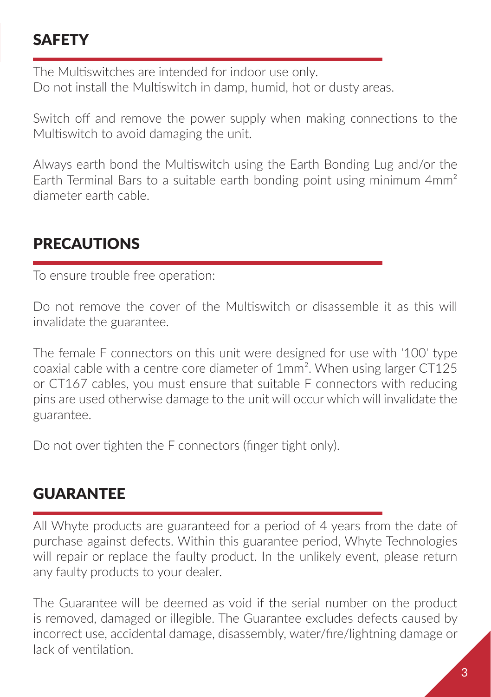### **SAFFTY**

The Multiswitches are intended for indoor use only. Do not install the Multiswitch in damp, humid, hot or dusty areas.

Switch off and remove the power supply when making connections to the Multiswitch to avoid damaging the unit.

Always earth bond the Multiswitch using the Earth Bonding Lug and/or the Earth Terminal Bars to a suitable earth bonding point using minimum 4mm² diameter earth cable.

#### PRECAUTIONS

To ensure trouble free operation:

Do not remove the cover of the Multiswitch or disassemble it as this will invalidate the guarantee.

The female F connectors on this unit were designed for use with '100' type coaxial cable with a centre core diameter of 1mm². When using larger CT125 or CT167 cables, you must ensure that suitable F connectors with reducing pins are used otherwise damage to the unit will occur which will invalidate the guarantee.

Do not over tighten the F connectors (finger tight only).

#### **GUARANTFF**

All Whyte products are guaranteed for a period of 4 years from the date of purchase against defects. Within this guarantee period, Whyte Technologies will repair or replace the faulty product. In the unlikely event, please return any faulty products to your dealer.

The Guarantee will be deemed as void if the serial number on the product is removed, damaged or illegible. The Guarantee excludes defects caused by incorrect use, accidental damage, disassembly, water/fire/lightning damage or lack of ventilation.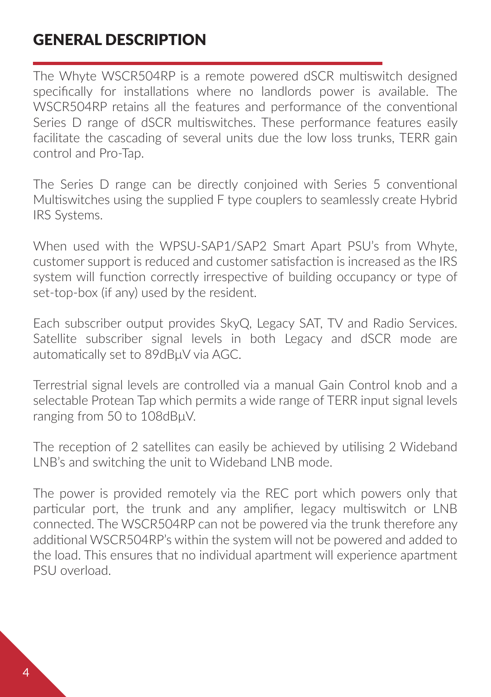#### GENERAL DESCRIPTION

The Whyte WSCR504RP is a remote powered dSCR multiswitch designed specifically for installations where no landlords power is available. The WSCR504RP retains all the features and performance of the conventional Series D range of dSCR multiswitches. These performance features easily facilitate the cascading of several units due the low loss trunks, TERR gain control and Pro-Tap.

The Series D range can be directly conjoined with Series 5 conventional Multiswitches using the supplied F type couplers to seamlessly create Hybrid IRS Systems.

When used with the WPSU-SAP1/SAP2 Smart Apart PSU's from Whyte, customer support is reduced and customer satisfaction is increased as the IRS system will function correctly irrespective of building occupancy or type of set-top-box (if any) used by the resident.

Each subscriber output provides SkyQ, Legacy SAT, TV and Radio Services. Satellite subscriber signal levels in both Legacy and dSCR mode are automatically set to 89dBμV via AGC.

Terrestrial signal levels are controlled via a manual Gain Control knob and a selectable Protean Tap which permits a wide range of TERR input signal levels ranging from 50 to 108dBμV.

The reception of 2 satellites can easily be achieved by utilising 2 Wideband LNB's and switching the unit to Wideband LNB mode.

The power is provided remotely via the REC port which powers only that particular port, the trunk and any amplifier, legacy multiswitch or LNB connected. The WSCR504RP can not be powered via the trunk therefore any additional WSCR504RP's within the system will not be powered and added to the load. This ensures that no individual apartment will experience apartment PSU overload.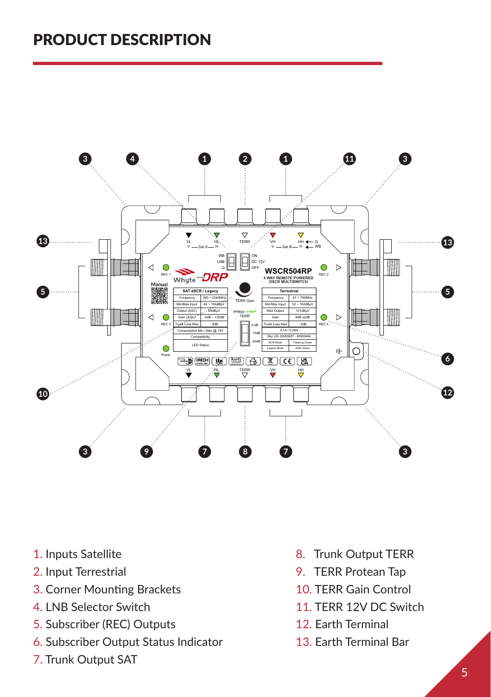#### PRODUCT DESCRIPTION



- 1. Inputs Satellite
- 2. Input Terrestrial
- 3. Corner Mounting Brackets
- 4. LNB Selector Switch
- 5. Subscriber (REC) Outputs
- 6. Subscriber Output Status Indicator
- 7. Trunk Output SAT
- 8. Trunk Output TERR
- 9. TERR Protean Tap
- 10. TERR Gain Control
- 11. TERR 12V DC Switch
- 12. Earth Terminal
- 13. Earth Terminal Bar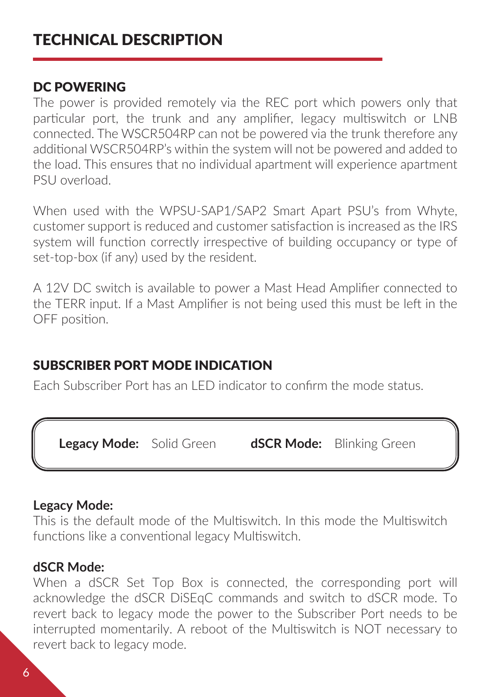#### DC POWERING

The power is provided remotely via the REC port which powers only that particular port, the trunk and any amplifier, legacy multiswitch or LNB connected. The WSCR504RP can not be powered via the trunk therefore any additional WSCR504RP's within the system will not be powered and added to the load. This ensures that no individual apartment will experience apartment PSU overload.

When used with the WPSU-SAP1/SAP2 Smart Apart PSU's from Whyte, customer support is reduced and customer satisfaction is increased as the IRS system will function correctly irrespective of building occupancy or type of set-top-box (if any) used by the resident.

A 12V DC switch is available to power a Mast Head Amplifier connected to the TERR input. If a Mast Amplifier is not being used this must be left in the OFF position.

#### SUBSCRIBER PORT MODE INDICATION

Each Subscriber Port has an LED indicator to confirm the mode status.

 **Legacy Mode:** Solid Green **dSCR Mode:** Blinking Green

#### **Legacy Mode:**

This is the default mode of the Multiswitch. In this mode the Multiswitch functions like a conventional legacy Multiswitch.

#### **dSCR Mode:**

When a dSCR Set Top Box is connected, the corresponding port will acknowledge the dSCR DiSEqC commands and switch to dSCR mode. To revert back to legacy mode the power to the Subscriber Port needs to be interrupted momentarily. A reboot of the Multiswitch is NOT necessary to revert back to legacy mode.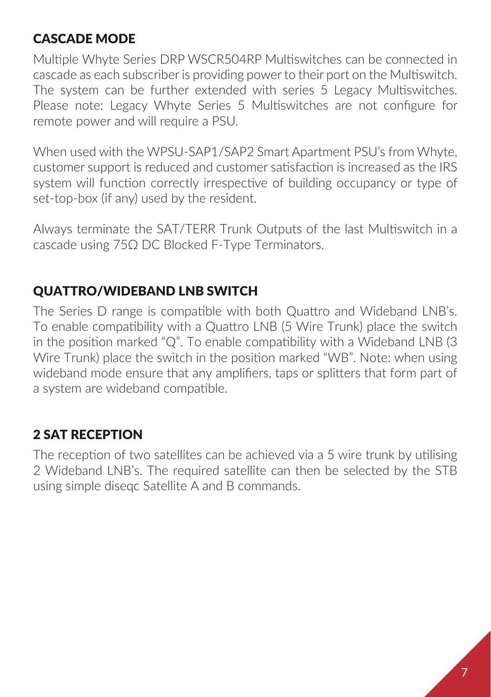#### CASCADE MODE

Multiple Whyte Series DRP WSCR504RP Multiswitches can be connected in cascade as each subscriber is providing power to their port on the Multiswitch. The system can be further extended with series 5 Legacy Multiswitches. Please note: Legacy Whyte Series 5 Multiswitches are not configure for remote power and will require a PSU.

When used with the WPSU-SAP1/SAP2 Smart Apartment PSU's from Whyte, customer support is reduced and customer satisfaction is increased as the IRS system will function correctly irrespective of building occupancy or type of set-top-box (if any) used by the resident.

Always terminate the SAT/TERR Trunk Outputs of the last Multiswitch in a cascade using 75Ω DC Blocked F-Type Terminators.

#### QUATTRO/WIDEBAND LNB SWITCH

The Series D range is compatible with both Quattro and Wideband LNB's. To enable compatibility with a Quattro LNB (5 Wire Trunk) place the switch in the position marked "Q". To enable compatibility with a Wideband LNB (3 Wire Trunk) place the switch in the position marked "WB". Note: when using wideband mode ensure that any amplifiers, taps or splitters that form part of a system are wideband compatible.

#### 2 SAT RECEPTION

The reception of two satellites can be achieved via a 5 wire trunk by utilising 2 Wideband LNB's. The required satellite can then be selected by the STB using simple diseqc Satellite A and B commands.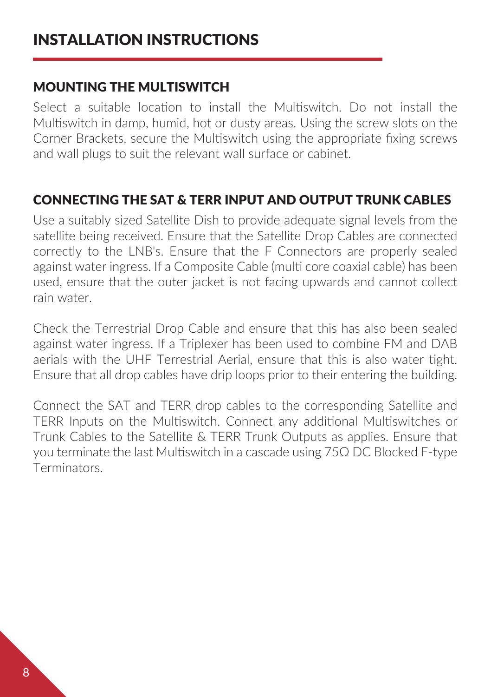#### MOUNTING THE MULTISWITCH

Select a suitable location to install the Multiswitch. Do not install the Multiswitch in damp, humid, hot or dusty areas. Using the screw slots on the Corner Brackets, secure the Multiswitch using the appropriate fixing screws and wall plugs to suit the relevant wall surface or cabinet.

#### CONNECTING THE SAT & TERR INPUT AND OUTPUT TRUNK CABLES

Use a suitably sized Satellite Dish to provide adequate signal levels from the satellite being received. Ensure that the Satellite Drop Cables are connected correctly to the LNB's. Ensure that the F Connectors are properly sealed against water ingress. If a Composite Cable (multi core coaxial cable) has been used, ensure that the outer jacket is not facing upwards and cannot collect rain water.

Check the Terrestrial Drop Cable and ensure that this has also been sealed against water ingress. If a Triplexer has been used to combine FM and DAB aerials with the UHF Terrestrial Aerial, ensure that this is also water tight. Ensure that all drop cables have drip loops prior to their entering the building.

Connect the SAT and TERR drop cables to the corresponding Satellite and TERR Inputs on the Multiswitch. Connect any additional Multiswitches or Trunk Cables to the Satellite & TERR Trunk Outputs as applies. Ensure that you terminate the last Multiswitch in a cascade using 75Ω DC Blocked F-type Terminators.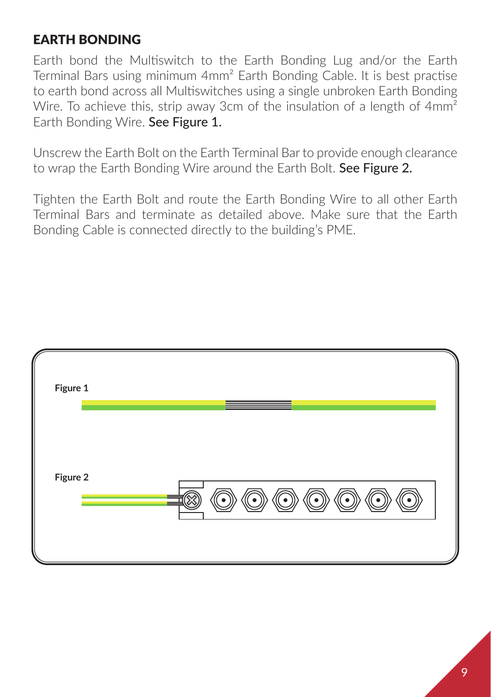#### EARTH BONDING

Earth bond the Multiswitch to the Earth Bonding Lug and/or the Earth Terminal Bars using minimum 4mm² Earth Bonding Cable. It is best practise to earth bond across all Multiswitches using a single unbroken Earth Bonding Wire. To achieve this, strip away 3cm of the insulation of a length of 4mm<sup>2</sup> Earth Bonding Wire. See Figure 1.

Unscrew the Earth Bolt on the Earth Terminal Bar to provide enough clearance to wrap the Earth Bonding Wire around the Earth Bolt. See Figure 2.

Tighten the Earth Bolt and route the Earth Bonding Wire to all other Earth Terminal Bars and terminate as detailed above. Make sure that the Earth Bonding Cable is connected directly to the building's PME.

| Figure 1 |     |
|----------|-----|
| Figure 2 | ە ' |
|          |     |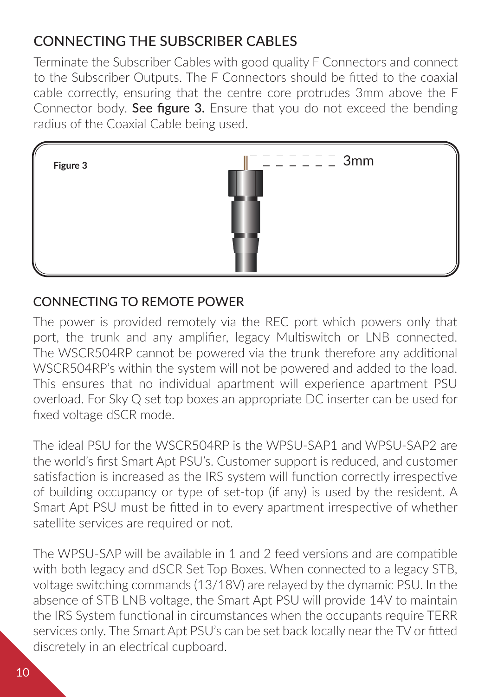#### CONNECTING THE SUBSCRIBER CABLES

Terminate the Subscriber Cables with good quality F Connectors and connect to the Subscriber Outputs. The F Connectors should be fitted to the coaxial cable correctly, ensuring that the centre core protrudes 3mm above the F Connector body. See figure 3. Ensure that you do not exceed the bending radius of the Coaxial Cable being used.



#### CONNECTING TO REMOTE POWER

The power is provided remotely via the REC port which powers only that port, the trunk and any amplifier, legacy Multiswitch or LNB connected. The WSCR504RP cannot be powered via the trunk therefore any additional WSCR504RP's within the system will not be powered and added to the load. This ensures that no individual apartment will experience apartment PSU overload. For Sky Q set top boxes an appropriate DC inserter can be used for fixed voltage dSCR mode.

The ideal PSU for the WSCR504RP is the WPSU-SAP1 and WPSU-SAP2 are the world's first Smart Apt PSU's. Customer support is reduced, and customer satisfaction is increased as the IRS system will function correctly irrespective of building occupancy or type of set-top (if any) is used by the resident. A Smart Apt PSU must be fitted in to every apartment irrespective of whether satellite services are required or not.

The WPSU-SAP will be available in 1 and 2 feed versions and are compatible with both legacy and dSCR Set Top Boxes. When connected to a legacy STB, voltage switching commands (13/18V) are relayed by the dynamic PSU. In the absence of STB LNB voltage, the Smart Apt PSU will provide 14V to maintain the IRS System functional in circumstances when the occupants require TERR services only. The Smart Apt PSU's can be set back locally near the TV or fitted discretely in an electrical cupboard.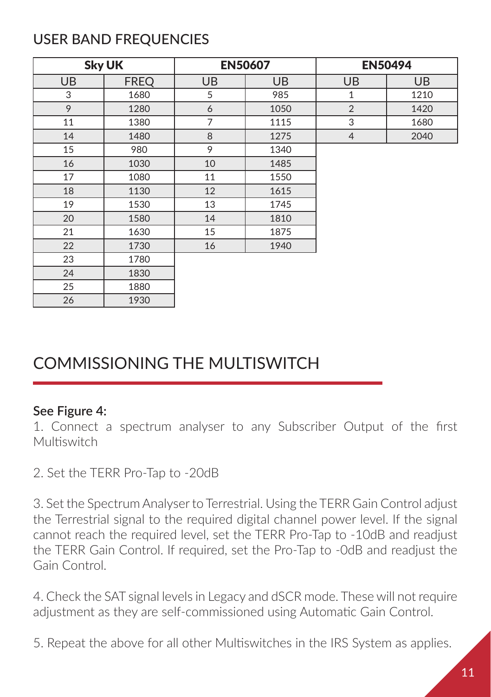#### USER BAND FREQUENCIES

|           | <b>Sky UK</b> |           | <b>EN50607</b> |                | <b>EN50494</b> |
|-----------|---------------|-----------|----------------|----------------|----------------|
| <b>UB</b> | <b>FREQ</b>   | <b>UB</b> | <b>UB</b>      | UB             | <b>UB</b>      |
| 3         | 1680          | 5         | 985            | $\mathbf{1}$   | 1210           |
| 9         | 1280          | 6         | 1050           | $\overline{2}$ | 1420           |
| 11        | 1380          | 7         | 1115           | 3              | 1680           |
| 14        | 1480          | 8         | 1275           | $\overline{4}$ | 2040           |
| 15        | 980           | 9         | 1340           |                |                |
| 16        | 1030          | 10        | 1485           |                |                |
| 17        | 1080          | 11        | 1550           |                |                |
| 18        | 1130          | 12        | 1615           |                |                |
| 19        | 1530          | 13        | 1745           |                |                |
| 20        | 1580          | 14        | 1810           |                |                |
| 21        | 1630          | 15        | 1875           |                |                |
| 22        | 1730          | 16        | 1940           |                |                |
| 23        | 1780          |           |                |                |                |
| 24        | 1830          |           |                |                |                |
| 25        | 1880          |           |                |                |                |
| 26        | 1930          |           |                |                |                |

#### COMMISSIONING THE MULTISWITCH

#### **See Figure 4:**

1. Connect a spectrum analyser to any Subscriber Output of the first **Multiswitch** 

2. Set the TERR Pro-Tap to -20dB

3. Set the Spectrum Analyser to Terrestrial. Using the TERR Gain Control adjust the Terrestrial signal to the required digital channel power level. If the signal cannot reach the required level, set the TERR Pro-Tap to -10dB and readjust the TERR Gain Control. If required, set the Pro-Tap to -0dB and readjust the Gain Control.

4. Check the SAT signal levels in Legacy and dSCR mode. These will not require adjustment as they are self-commissioned using Automatic Gain Control.

5. Repeat the above for all other Multiswitches in the IRS System as applies.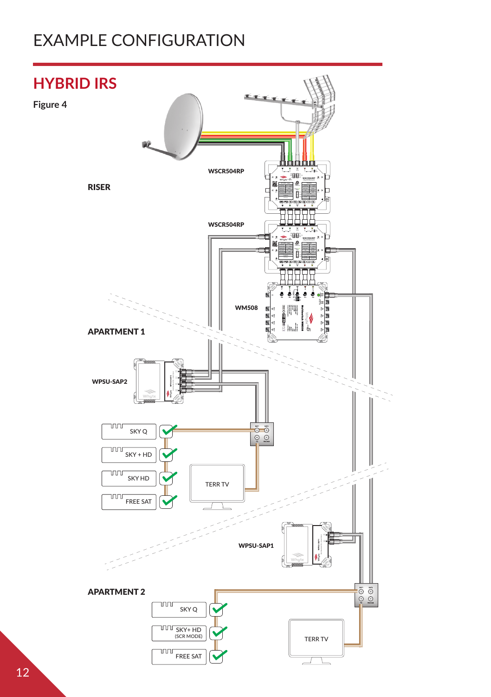#### EXAMPLE CONFIGURATION

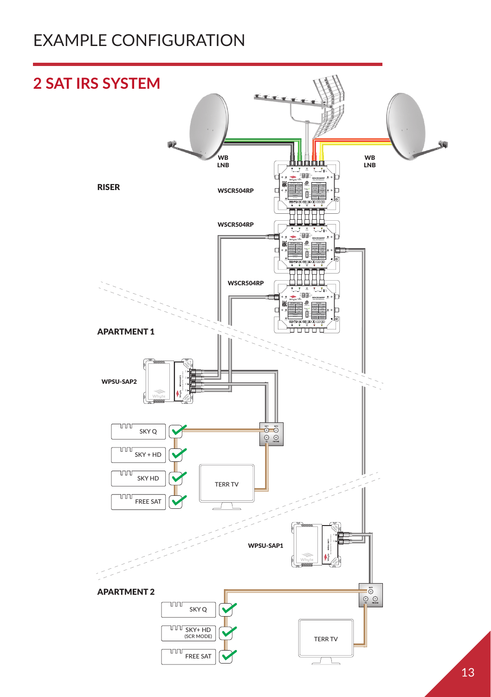#### EXAMPLE CONFIGURATION

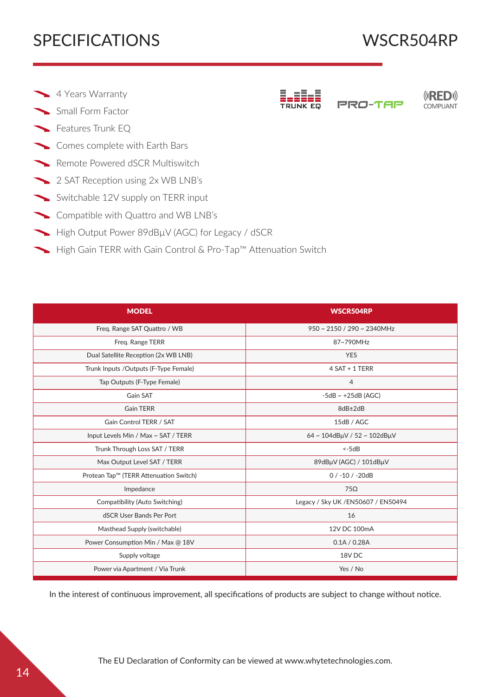#### SPECIFICATIONS WSCR504RP

**(GRED)** COMPLIANT

Pro-Tap

- 4 Years Warranty
- Small Form Factor
- Features Trunk EQ
- Comes complete with Earth Bars
- Remote Powered dSCR Multiswitch
- 2 SAT Reception using 2x WB LNB's
- Switchable 12V supply on TERR input
- Compatible with Quattro and WB LNB's
- High Output Power 89dBµV (AGC) for Legacy / dSCR
- ► High Gain TERR with Gain Control & Pro-Tap™ Attenuation Switch

| <b>MODEL</b>                           | <b>WSCR504RP</b>                          |  |
|----------------------------------------|-------------------------------------------|--|
| Freq. Range SAT Quattro / WB           | $950 \approx 2150 / 290 \approx 2340$ MHz |  |
| Freq. Range TERR                       | 87~790MHz                                 |  |
| Dual Satellite Reception (2x WB LNB)   | <b>YES</b>                                |  |
| Trunk Inputs /Outputs (F-Type Female)  | 4 SAT + 1 TERR                            |  |
| Tap Outputs (F-Type Female)            | $\overline{4}$                            |  |
| Gain SAT                               | $-5dB \sim +25dB$ (AGC)                   |  |
| <b>Gain TERR</b>                       | 8dB±2dB                                   |  |
| Gain Control TERR / SAT                | 15dB / AGC                                |  |
| Input Levels Min / Max ~ SAT / TERR    | 64~104dBµV / 52~102dBµV                   |  |
| Trunk Through Loss SAT / TERR          | $<-5dB$                                   |  |
| Max Output Level SAT / TERR            | 89dBµV (AGC) / 101dBµV                    |  |
| Protean Tap™ (TERR Attenuation Switch) | $0/ -10/ -20dB$                           |  |
| Impedance                              | $75\Omega$                                |  |
| Compatibility (Auto Switching)         | Legacy / Sky UK / EN50607 / EN50494       |  |
| dSCR User Bands Per Port               | 16                                        |  |
| Masthead Supply (switchable)           | 12V DC 100mA                              |  |
| Power Consumption Min / Max @ 18V      | 0.1A / 0.28A                              |  |
| Supply voltage                         | 18V <sub>DC</sub>                         |  |
| Power via Apartment / Via Trunk        | Yes / No                                  |  |

In the interest of continuous improvement, all specifications of products are subject to change without notice.